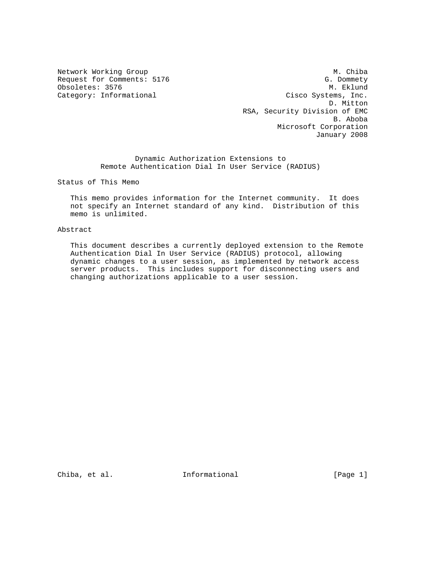Obsoletes: 3576

Network Working Group Methods and Muslim Muslim Muslim Muslim Muslim Muslim Muslim Muslim Muslim Muslim Muslim Request for Comments: 5176 G. Dommety G. Dommety (G. Dommety G. Dommety G. Dommety G. Dommety G. Dommety G. Dommety (G. Dommety G. Dommety G. Dommety G. Dommety G. Dommety G. Dommety G. Dommety G. G. Dommety G. G. G. G. G. Category: Informational Cisco Systems, Inc. D. Mitton RSA, Security Division of EMC B. Aboba Microsoft Corporation January 2008

> Dynamic Authorization Extensions to Remote Authentication Dial In User Service (RADIUS)

Status of This Memo

 This memo provides information for the Internet community. It does not specify an Internet standard of any kind. Distribution of this memo is unlimited.

#### Abstract

 This document describes a currently deployed extension to the Remote Authentication Dial In User Service (RADIUS) protocol, allowing dynamic changes to a user session, as implemented by network access server products. This includes support for disconnecting users and changing authorizations applicable to a user session.

Chiba, et al.  $I_n$  Informational [Page 1]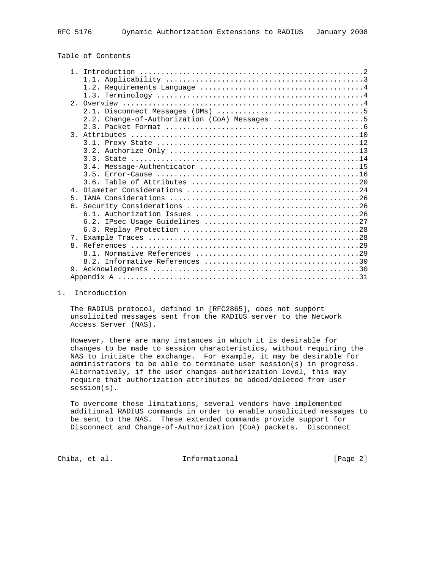# Table of Contents

|                | 2.2. Change-of-Authorization (CoA) Messages 5 |
|----------------|-----------------------------------------------|
|                |                                               |
| $\mathcal{R}$  |                                               |
|                |                                               |
|                |                                               |
|                |                                               |
|                |                                               |
|                |                                               |
|                |                                               |
| $\overline{4}$ |                                               |
| $5 -$          |                                               |
|                |                                               |
|                |                                               |
|                |                                               |
|                |                                               |
|                |                                               |
|                |                                               |
|                |                                               |
|                |                                               |
| 9              |                                               |
|                |                                               |
|                |                                               |

### 1. Introduction

 The RADIUS protocol, defined in [RFC2865], does not support unsolicited messages sent from the RADIUS server to the Network Access Server (NAS).

 However, there are many instances in which it is desirable for changes to be made to session characteristics, without requiring the NAS to initiate the exchange. For example, it may be desirable for administrators to be able to terminate user session(s) in progress. Alternatively, if the user changes authorization level, this may require that authorization attributes be added/deleted from user session(s).

 To overcome these limitations, several vendors have implemented additional RADIUS commands in order to enable unsolicited messages to be sent to the NAS. These extended commands provide support for Disconnect and Change-of-Authorization (CoA) packets. Disconnect

Chiba, et al. 1nformational 1999 [Page 2]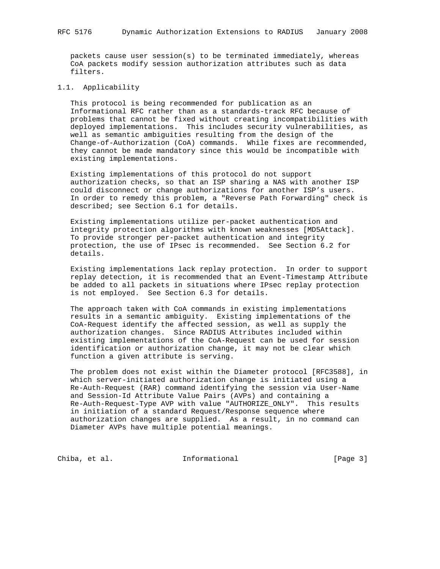packets cause user session(s) to be terminated immediately, whereas CoA packets modify session authorization attributes such as data filters.

### 1.1. Applicability

 This protocol is being recommended for publication as an Informational RFC rather than as a standards-track RFC because of problems that cannot be fixed without creating incompatibilities with deployed implementations. This includes security vulnerabilities, as well as semantic ambiguities resulting from the design of the Change-of-Authorization (CoA) commands. While fixes are recommended, they cannot be made mandatory since this would be incompatible with existing implementations.

 Existing implementations of this protocol do not support authorization checks, so that an ISP sharing a NAS with another ISP could disconnect or change authorizations for another ISP's users. In order to remedy this problem, a "Reverse Path Forwarding" check is described; see Section 6.1 for details.

 Existing implementations utilize per-packet authentication and integrity protection algorithms with known weaknesses [MD5Attack]. To provide stronger per-packet authentication and integrity protection, the use of IPsec is recommended. See Section 6.2 for details.

 Existing implementations lack replay protection. In order to support replay detection, it is recommended that an Event-Timestamp Attribute be added to all packets in situations where IPsec replay protection is not employed. See Section 6.3 for details.

 The approach taken with CoA commands in existing implementations results in a semantic ambiguity. Existing implementations of the CoA-Request identify the affected session, as well as supply the authorization changes. Since RADIUS Attributes included within existing implementations of the CoA-Request can be used for session identification or authorization change, it may not be clear which function a given attribute is serving.

 The problem does not exist within the Diameter protocol [RFC3588], in which server-initiated authorization change is initiated using a Re-Auth-Request (RAR) command identifying the session via User-Name and Session-Id Attribute Value Pairs (AVPs) and containing a Re-Auth-Request-Type AVP with value "AUTHORIZE\_ONLY". This results in initiation of a standard Request/Response sequence where authorization changes are supplied. As a result, in no command can Diameter AVPs have multiple potential meanings.

Chiba, et al. 1nformational 1999 [Page 3]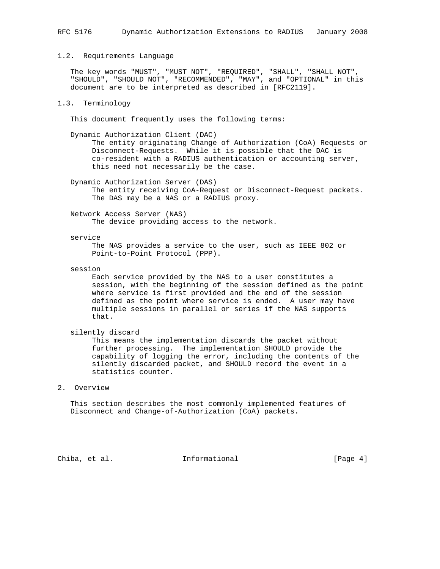#### 1.2. Requirements Language

 The key words "MUST", "MUST NOT", "REQUIRED", "SHALL", "SHALL NOT", "SHOULD", "SHOULD NOT", "RECOMMENDED", "MAY", and "OPTIONAL" in this document are to be interpreted as described in [RFC2119].

### 1.3. Terminology

This document frequently uses the following terms:

 Dynamic Authorization Client (DAC) The entity originating Change of Authorization (CoA) Requests or Disconnect-Requests. While it is possible that the DAC is co-resident with a RADIUS authentication or accounting server, this need not necessarily be the case.

 Dynamic Authorization Server (DAS) The entity receiving CoA-Request or Disconnect-Request packets. The DAS may be a NAS or a RADIUS proxy.

 Network Access Server (NAS) The device providing access to the network.

#### service

 The NAS provides a service to the user, such as IEEE 802 or Point-to-Point Protocol (PPP).

session

 Each service provided by the NAS to a user constitutes a session, with the beginning of the session defined as the point where service is first provided and the end of the session defined as the point where service is ended. A user may have multiple sessions in parallel or series if the NAS supports that.

silently discard

 This means the implementation discards the packet without further processing. The implementation SHOULD provide the capability of logging the error, including the contents of the silently discarded packet, and SHOULD record the event in a statistics counter.

### 2. Overview

 This section describes the most commonly implemented features of Disconnect and Change-of-Authorization (CoA) packets.

Chiba, et al. **Informational** (Page 4)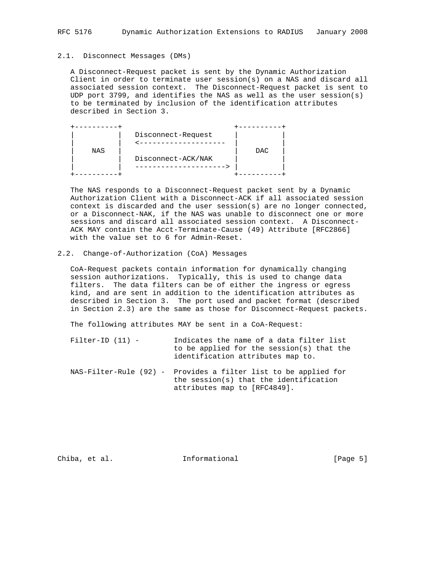### RFC 5176 Dynamic Authorization Extensions to RADIUS January 2008

#### 2.1. Disconnect Messages (DMs)

 A Disconnect-Request packet is sent by the Dynamic Authorization Client in order to terminate user session(s) on a NAS and discard all associated session context. The Disconnect-Request packet is sent to UDP port 3799, and identifies the NAS as well as the user session(s) to be terminated by inclusion of the identification attributes described in Section 3.

|     | Disconnect-Request |            |
|-----|--------------------|------------|
|     |                    |            |
| NAS |                    | <b>DAC</b> |
|     | Disconnect-ACK/NAK |            |
|     |                    |            |
|     |                    |            |

 The NAS responds to a Disconnect-Request packet sent by a Dynamic Authorization Client with a Disconnect-ACK if all associated session context is discarded and the user session(s) are no longer connected, or a Disconnect-NAK, if the NAS was unable to disconnect one or more sessions and discard all associated session context. A Disconnect- ACK MAY contain the Acct-Terminate-Cause (49) Attribute [RFC2866] with the value set to 6 for Admin-Reset.

### 2.2. Change-of-Authorization (CoA) Messages

 CoA-Request packets contain information for dynamically changing session authorizations. Typically, this is used to change data filters. The data filters can be of either the ingress or egress kind, and are sent in addition to the identification attributes as described in Section 3. The port used and packet format (described in Section 2.3) are the same as those for Disconnect-Request packets.

The following attributes MAY be sent in a CoA-Request:

- Filter-ID (11) Indicates the name of a data filter list to be applied for the session(s) that the identification attributes map to.
- NAS-Filter-Rule (92) Provides a filter list to be applied for the session(s) that the identification attributes map to [RFC4849].

Chiba, et al. **Informational** [Page 5]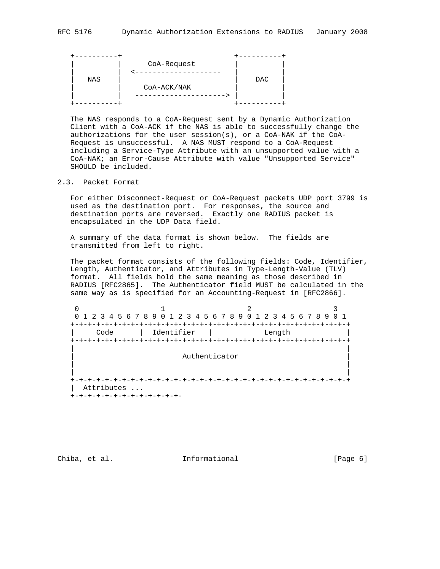The NAS responds to a CoA-Request sent by a Dynamic Authorization Client with a CoA-ACK if the NAS is able to successfully change the authorizations for the user  $sension(s)$ , or a CoA-NAK if the CoA- Request is unsuccessful. A NAS MUST respond to a CoA-Request including a Service-Type Attribute with an unsupported value with a CoA-NAK; an Error-Cause Attribute with value "Unsupported Service" SHOULD be included.

# 2.3. Packet Format

 For either Disconnect-Request or CoA-Request packets UDP port 3799 is used as the destination port. For responses, the source and destination ports are reversed. Exactly one RADIUS packet is encapsulated in the UDP Data field.

 A summary of the data format is shown below. The fields are transmitted from left to right.

 The packet format consists of the following fields: Code, Identifier, Length, Authenticator, and Attributes in Type-Length-Value (TLV) format. All fields hold the same meaning as those described in RADIUS [RFC2865]. The Authenticator field MUST be calculated in the same way as is specified for an Accounting-Request in [RFC2866].

0  $1$  2 3 0 1 2 3 4 5 6 7 8 9 0 1 2 3 4 5 6 7 8 9 0 1 2 3 4 5 6 7 8 9 0 1 +-+-+-+-+-+-+-+-+-+-+-+-+-+-+-+-+-+-+-+-+-+-+-+-+-+-+-+-+-+-+-+-+ | Code | Identifier | Length | +-+-+-+-+-+-+-+-+-+-+-+-+-+-+-+-+-+-+-+-+-+-+-+-+-+-+-+-+-+-+-+-+ | | Authenticator | | | | +-+-+-+-+-+-+-+-+-+-+-+-+-+-+-+-+-+-+-+-+-+-+-+-+-+-+-+-+-+-+-+-+ | Attributes ... +-+-+-+-+-+-+-+-+-+-+-+-+-

Chiba, et al. 1nformational 1999 [Page 6]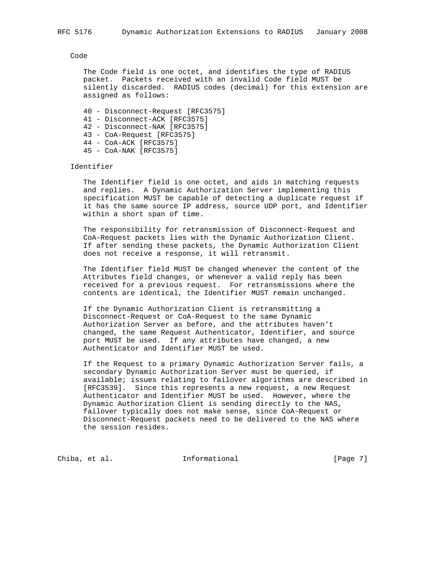#### Code

 The Code field is one octet, and identifies the type of RADIUS packet. Packets received with an invalid Code field MUST be silently discarded. RADIUS codes (decimal) for this extension are assigned as follows:

 40 - Disconnect-Request [RFC3575] 41 - Disconnect-ACK [RFC3575] 42 - Disconnect-NAK [RFC3575]

- 43 CoA-Request [RFC3575]
- 44 CoA-ACK [RFC3575]
- 45 CoA-NAK [RFC3575]

Identifier

 The Identifier field is one octet, and aids in matching requests and replies. A Dynamic Authorization Server implementing this specification MUST be capable of detecting a duplicate request if it has the same source IP address, source UDP port, and Identifier within a short span of time.

 The responsibility for retransmission of Disconnect-Request and CoA-Request packets lies with the Dynamic Authorization Client. If after sending these packets, the Dynamic Authorization Client does not receive a response, it will retransmit.

 The Identifier field MUST be changed whenever the content of the Attributes field changes, or whenever a valid reply has been received for a previous request. For retransmissions where the contents are identical, the Identifier MUST remain unchanged.

 If the Dynamic Authorization Client is retransmitting a Disconnect-Request or CoA-Request to the same Dynamic Authorization Server as before, and the attributes haven't changed, the same Request Authenticator, Identifier, and source port MUST be used. If any attributes have changed, a new Authenticator and Identifier MUST be used.

 If the Request to a primary Dynamic Authorization Server fails, a secondary Dynamic Authorization Server must be queried, if available; issues relating to failover algorithms are described in [RFC3539]. Since this represents a new request, a new Request Authenticator and Identifier MUST be used. However, where the Dynamic Authorization Client is sending directly to the NAS, failover typically does not make sense, since CoA-Request or Disconnect-Request packets need to be delivered to the NAS where the session resides.

Chiba, et al. **Informational** [Page 7]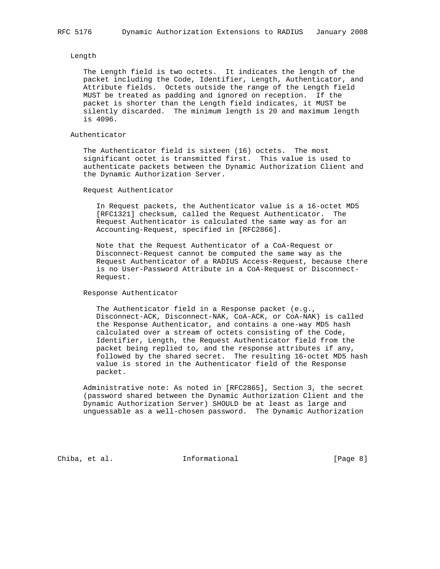#### Length

 The Length field is two octets. It indicates the length of the packet including the Code, Identifier, Length, Authenticator, and Attribute fields. Octets outside the range of the Length field MUST be treated as padding and ignored on reception. If the packet is shorter than the Length field indicates, it MUST be silently discarded. The minimum length is 20 and maximum length is 4096.

### Authenticator

 The Authenticator field is sixteen (16) octets. The most significant octet is transmitted first. This value is used to authenticate packets between the Dynamic Authorization Client and the Dynamic Authorization Server.

Request Authenticator

 In Request packets, the Authenticator value is a 16-octet MD5 [RFC1321] checksum, called the Request Authenticator. The Request Authenticator is calculated the same way as for an Accounting-Request, specified in [RFC2866].

 Note that the Request Authenticator of a CoA-Request or Disconnect-Request cannot be computed the same way as the Request Authenticator of a RADIUS Access-Request, because there is no User-Password Attribute in a CoA-Request or Disconnect- Request.

Response Authenticator

 The Authenticator field in a Response packet (e.g., Disconnect-ACK, Disconnect-NAK, CoA-ACK, or CoA-NAK) is called the Response Authenticator, and contains a one-way MD5 hash calculated over a stream of octets consisting of the Code, Identifier, Length, the Request Authenticator field from the packet being replied to, and the response attributes if any, followed by the shared secret. The resulting 16-octet MD5 hash value is stored in the Authenticator field of the Response packet.

 Administrative note: As noted in [RFC2865], Section 3, the secret (password shared between the Dynamic Authorization Client and the Dynamic Authorization Server) SHOULD be at least as large and unguessable as a well-chosen password. The Dynamic Authorization

Chiba, et al. **Informational** [Page 8]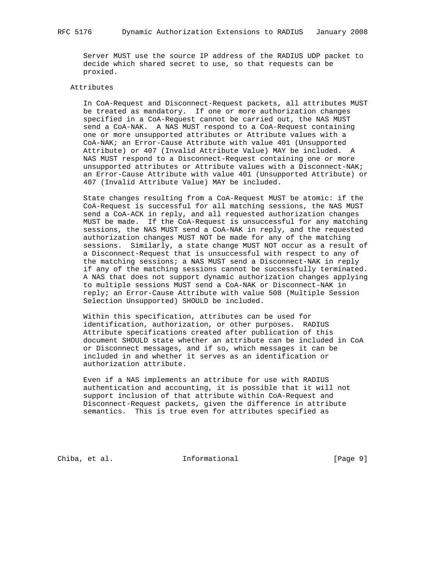Server MUST use the source IP address of the RADIUS UDP packet to decide which shared secret to use, so that requests can be proxied.

### Attributes

 In CoA-Request and Disconnect-Request packets, all attributes MUST be treated as mandatory. If one or more authorization changes specified in a CoA-Request cannot be carried out, the NAS MUST send a CoA-NAK. A NAS MUST respond to a CoA-Request containing one or more unsupported attributes or Attribute values with a CoA-NAK; an Error-Cause Attribute with value 401 (Unsupported Attribute) or 407 (Invalid Attribute Value) MAY be included. A NAS MUST respond to a Disconnect-Request containing one or more unsupported attributes or Attribute values with a Disconnect-NAK; an Error-Cause Attribute with value 401 (Unsupported Attribute) or 407 (Invalid Attribute Value) MAY be included.

 State changes resulting from a CoA-Request MUST be atomic: if the CoA-Request is successful for all matching sessions, the NAS MUST send a CoA-ACK in reply, and all requested authorization changes MUST be made. If the CoA-Request is unsuccessful for any matching sessions, the NAS MUST send a CoA-NAK in reply, and the requested authorization changes MUST NOT be made for any of the matching sessions. Similarly, a state change MUST NOT occur as a result of a Disconnect-Request that is unsuccessful with respect to any of the matching sessions; a NAS MUST send a Disconnect-NAK in reply if any of the matching sessions cannot be successfully terminated. A NAS that does not support dynamic authorization changes applying to multiple sessions MUST send a CoA-NAK or Disconnect-NAK in reply; an Error-Cause Attribute with value 508 (Multiple Session Selection Unsupported) SHOULD be included.

 Within this specification, attributes can be used for identification, authorization, or other purposes. RADIUS Attribute specifications created after publication of this document SHOULD state whether an attribute can be included in CoA or Disconnect messages, and if so, which messages it can be included in and whether it serves as an identification or authorization attribute.

 Even if a NAS implements an attribute for use with RADIUS authentication and accounting, it is possible that it will not support inclusion of that attribute within CoA-Request and Disconnect-Request packets, given the difference in attribute semantics. This is true even for attributes specified as

Chiba, et al. **Informational** [Page 9]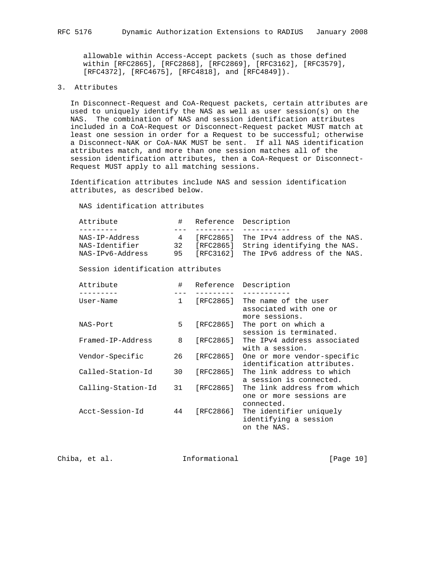allowable within Access-Accept packets (such as those defined within [RFC2865], [RFC2868], [RFC2869], [RFC3162], [RFC3579], [RFC4372], [RFC4675], [RFC4818], and [RFC4849]).

### 3. Attributes

 In Disconnect-Request and CoA-Request packets, certain attributes are used to uniquely identify the NAS as well as user session(s) on the NAS. The combination of NAS and session identification attributes included in a CoA-Request or Disconnect-Request packet MUST match at least one session in order for a Request to be successful; otherwise a Disconnect-NAK or CoA-NAK MUST be sent. If all NAS identification attributes match, and more than one session matches all of the session identification attributes, then a CoA-Request or Disconnect- Request MUST apply to all matching sessions.

 Identification attributes include NAS and session identification attributes, as described below.

NAS identification attributes

| Attribute        | $\#$ | Reference Description                  |
|------------------|------|----------------------------------------|
|                  |      |                                        |
| NAS-IP-Address   |      | [RFC2865] The IPv4 address of the NAS. |
| NAS-Identifier   | 32   | [RFC2865] String identifying the NAS.  |
| NAS-IPv6-Address | 95   | [RFC3162] The IPv6 address of the NAS. |
|                  |      | 4                                      |

Session identification attributes

| Attribute          | #            | Reference | Description                                                           |
|--------------------|--------------|-----------|-----------------------------------------------------------------------|
| User-Name          | $\mathbf{1}$ | [RFC2865] | The name of the user<br>associated with one or<br>more sessions.      |
| NAS-Port           | 5            | [RFC2865] | The port on which a<br>session is terminated.                         |
| Framed-IP-Address  | 8            | [RFC2865] | The IPv4 address associated<br>with a session.                        |
| Vendor-Specific    | 26           | [RFC2865] | One or more vendor-specific<br>identification attributes.             |
| Called-Station-Id  | 30           | [RFC2865] | The link address to which<br>a session is connected.                  |
| Calling-Station-Id | 31           | [RFC2865] | The link address from which<br>one or more sessions are<br>connected. |
| Acct-Session-Id    | 44           | [RFC2866] | The identifier uniquely<br>identifying a session<br>on the NAS.       |

Chiba, et al. **Informational** [Page 10]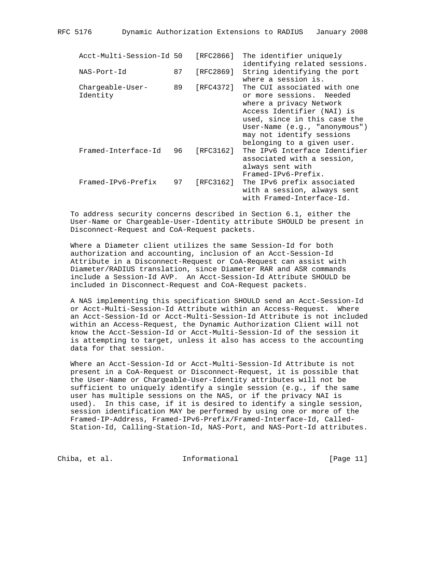| Acct-Multi-Session-Id 50     |    | [RFC2866] | The identifier uniquely<br>identifying related sessions.                                                                                                                                                                                       |
|------------------------------|----|-----------|------------------------------------------------------------------------------------------------------------------------------------------------------------------------------------------------------------------------------------------------|
| NAS-Port-Id                  | 87 | [RFC2869] | String identifying the port<br>where a session is.                                                                                                                                                                                             |
| Chargeable-User-<br>Identity | 89 | [RFC4372] | The CUI associated with one<br>or more sessions. Needed<br>where a privacy Network<br>Access Identifier (NAI) is<br>used, since in this case the<br>$User-Name (e.q., 'anonymous')$<br>may not identify sessions<br>belonging to a given user. |
| Framed-Interface-Id          | 96 | [RFC3162] | The IPv6 Interface Identifier<br>associated with a session,<br>always sent with<br>Framed-IPv6-Prefix.                                                                                                                                         |
| Framed-IPv6-Prefix           | 97 | [RFC3162] | The IPv6 prefix associated<br>with a session, always sent<br>with Framed-Interface-Id.                                                                                                                                                         |

 To address security concerns described in Section 6.1, either the User-Name or Chargeable-User-Identity attribute SHOULD be present in Disconnect-Request and CoA-Request packets.

 Where a Diameter client utilizes the same Session-Id for both authorization and accounting, inclusion of an Acct-Session-Id Attribute in a Disconnect-Request or CoA-Request can assist with Diameter/RADIUS translation, since Diameter RAR and ASR commands include a Session-Id AVP. An Acct-Session-Id Attribute SHOULD be included in Disconnect-Request and CoA-Request packets.

 A NAS implementing this specification SHOULD send an Acct-Session-Id or Acct-Multi-Session-Id Attribute within an Access-Request. Where an Acct-Session-Id or Acct-Multi-Session-Id Attribute is not included within an Access-Request, the Dynamic Authorization Client will not know the Acct-Session-Id or Acct-Multi-Session-Id of the session it is attempting to target, unless it also has access to the accounting data for that session.

 Where an Acct-Session-Id or Acct-Multi-Session-Id Attribute is not present in a CoA-Request or Disconnect-Request, it is possible that the User-Name or Chargeable-User-Identity attributes will not be sufficient to uniquely identify a single session (e.g., if the same user has multiple sessions on the NAS, or if the privacy NAI is used). In this case, if it is desired to identify a single session, session identification MAY be performed by using one or more of the Framed-IP-Address, Framed-IPv6-Prefix/Framed-Interface-Id, Called- Station-Id, Calling-Station-Id, NAS-Port, and NAS-Port-Id attributes.

Chiba, et al. **Informational** [Page 11]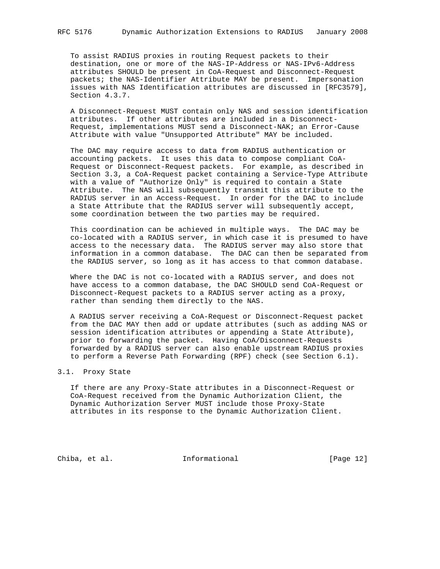To assist RADIUS proxies in routing Request packets to their destination, one or more of the NAS-IP-Address or NAS-IPv6-Address attributes SHOULD be present in CoA-Request and Disconnect-Request packets; the NAS-Identifier Attribute MAY be present. Impersonation issues with NAS Identification attributes are discussed in [RFC3579], Section 4.3.7.

 A Disconnect-Request MUST contain only NAS and session identification attributes. If other attributes are included in a Disconnect- Request, implementations MUST send a Disconnect-NAK; an Error-Cause Attribute with value "Unsupported Attribute" MAY be included.

 The DAC may require access to data from RADIUS authentication or accounting packets. It uses this data to compose compliant CoA- Request or Disconnect-Request packets. For example, as described in Section 3.3, a CoA-Request packet containing a Service-Type Attribute with a value of "Authorize Only" is required to contain a State Attribute. The NAS will subsequently transmit this attribute to the RADIUS server in an Access-Request. In order for the DAC to include a State Attribute that the RADIUS server will subsequently accept, some coordination between the two parties may be required.

 This coordination can be achieved in multiple ways. The DAC may be co-located with a RADIUS server, in which case it is presumed to have access to the necessary data. The RADIUS server may also store that information in a common database. The DAC can then be separated from the RADIUS server, so long as it has access to that common database.

 Where the DAC is not co-located with a RADIUS server, and does not have access to a common database, the DAC SHOULD send CoA-Request or Disconnect-Request packets to a RADIUS server acting as a proxy, rather than sending them directly to the NAS.

 A RADIUS server receiving a CoA-Request or Disconnect-Request packet from the DAC MAY then add or update attributes (such as adding NAS or session identification attributes or appending a State Attribute), prior to forwarding the packet. Having CoA/Disconnect-Requests forwarded by a RADIUS server can also enable upstream RADIUS proxies to perform a Reverse Path Forwarding (RPF) check (see Section 6.1).

### 3.1. Proxy State

 If there are any Proxy-State attributes in a Disconnect-Request or CoA-Request received from the Dynamic Authorization Client, the Dynamic Authorization Server MUST include those Proxy-State attributes in its response to the Dynamic Authorization Client.

Chiba, et al. 1nformational [Page 12]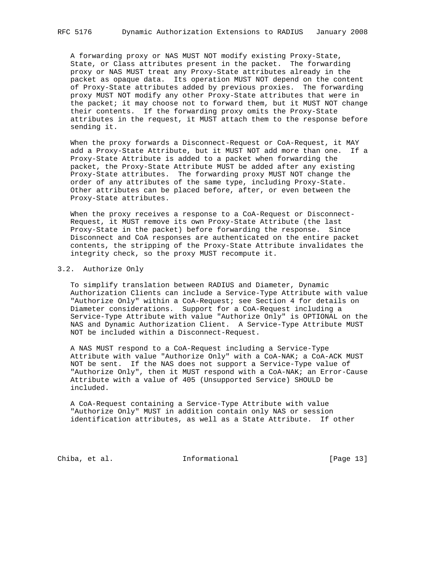A forwarding proxy or NAS MUST NOT modify existing Proxy-State, State, or Class attributes present in the packet. The forwarding proxy or NAS MUST treat any Proxy-State attributes already in the packet as opaque data. Its operation MUST NOT depend on the content of Proxy-State attributes added by previous proxies. The forwarding proxy MUST NOT modify any other Proxy-State attributes that were in the packet; it may choose not to forward them, but it MUST NOT change their contents. If the forwarding proxy omits the Proxy-State attributes in the request, it MUST attach them to the response before sending it.

 When the proxy forwards a Disconnect-Request or CoA-Request, it MAY add a Proxy-State Attribute, but it MUST NOT add more than one. If a Proxy-State Attribute is added to a packet when forwarding the packet, the Proxy-State Attribute MUST be added after any existing Proxy-State attributes. The forwarding proxy MUST NOT change the order of any attributes of the same type, including Proxy-State. Other attributes can be placed before, after, or even between the Proxy-State attributes.

 When the proxy receives a response to a CoA-Request or Disconnect- Request, it MUST remove its own Proxy-State Attribute (the last Proxy-State in the packet) before forwarding the response. Since Disconnect and CoA responses are authenticated on the entire packet contents, the stripping of the Proxy-State Attribute invalidates the integrity check, so the proxy MUST recompute it.

#### 3.2. Authorize Only

 To simplify translation between RADIUS and Diameter, Dynamic Authorization Clients can include a Service-Type Attribute with value "Authorize Only" within a CoA-Request; see Section 4 for details on Diameter considerations. Support for a CoA-Request including a Service-Type Attribute with value "Authorize Only" is OPTIONAL on the NAS and Dynamic Authorization Client. A Service-Type Attribute MUST NOT be included within a Disconnect-Request.

 A NAS MUST respond to a CoA-Request including a Service-Type Attribute with value "Authorize Only" with a CoA-NAK; a CoA-ACK MUST NOT be sent. If the NAS does not support a Service-Type value of "Authorize Only", then it MUST respond with a CoA-NAK; an Error-Cause Attribute with a value of 405 (Unsupported Service) SHOULD be included.

 A CoA-Request containing a Service-Type Attribute with value "Authorize Only" MUST in addition contain only NAS or session identification attributes, as well as a State Attribute. If other

Chiba, et al. 1nformational [Page 13]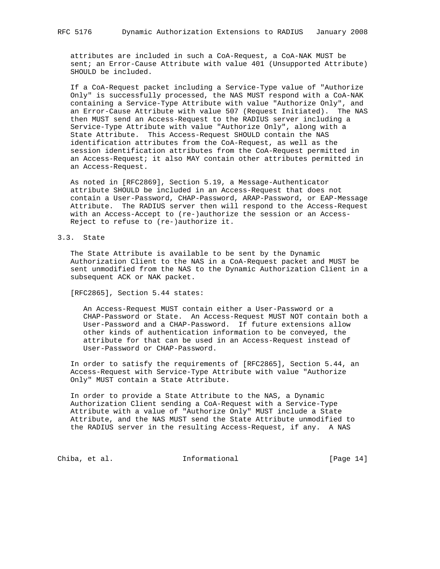attributes are included in such a CoA-Request, a CoA-NAK MUST be sent; an Error-Cause Attribute with value 401 (Unsupported Attribute) SHOULD be included.

 If a CoA-Request packet including a Service-Type value of "Authorize Only" is successfully processed, the NAS MUST respond with a CoA-NAK containing a Service-Type Attribute with value "Authorize Only", and an Error-Cause Attribute with value 507 (Request Initiated). The NAS then MUST send an Access-Request to the RADIUS server including a Service-Type Attribute with value "Authorize Only", along with a State Attribute. This Access-Request SHOULD contain the NAS identification attributes from the CoA-Request, as well as the session identification attributes from the CoA-Request permitted in an Access-Request; it also MAY contain other attributes permitted in an Access-Request.

 As noted in [RFC2869], Section 5.19, a Message-Authenticator attribute SHOULD be included in an Access-Request that does not contain a User-Password, CHAP-Password, ARAP-Password, or EAP-Message Attribute. The RADIUS server then will respond to the Access-Request with an Access-Accept to (re-)authorize the session or an Access- Reject to refuse to (re-)authorize it.

### 3.3. State

 The State Attribute is available to be sent by the Dynamic Authorization Client to the NAS in a CoA-Request packet and MUST be sent unmodified from the NAS to the Dynamic Authorization Client in a subsequent ACK or NAK packet.

[RFC2865], Section 5.44 states:

 An Access-Request MUST contain either a User-Password or a CHAP-Password or State. An Access-Request MUST NOT contain both a User-Password and a CHAP-Password. If future extensions allow other kinds of authentication information to be conveyed, the attribute for that can be used in an Access-Request instead of User-Password or CHAP-Password.

 In order to satisfy the requirements of [RFC2865], Section 5.44, an Access-Request with Service-Type Attribute with value "Authorize Only" MUST contain a State Attribute.

 In order to provide a State Attribute to the NAS, a Dynamic Authorization Client sending a CoA-Request with a Service-Type Attribute with a value of "Authorize Only" MUST include a State Attribute, and the NAS MUST send the State Attribute unmodified to the RADIUS server in the resulting Access-Request, if any. A NAS

Chiba, et al. 1nformational [Page 14]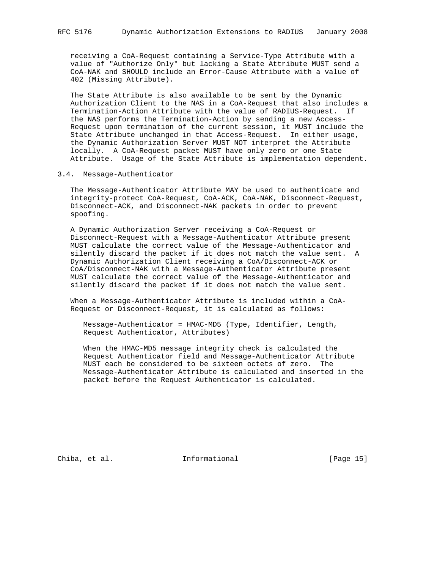receiving a CoA-Request containing a Service-Type Attribute with a value of "Authorize Only" but lacking a State Attribute MUST send a CoA-NAK and SHOULD include an Error-Cause Attribute with a value of 402 (Missing Attribute).

 The State Attribute is also available to be sent by the Dynamic Authorization Client to the NAS in a CoA-Request that also includes a Termination-Action Attribute with the value of RADIUS-Request. If the NAS performs the Termination-Action by sending a new Access- Request upon termination of the current session, it MUST include the State Attribute unchanged in that Access-Request. In either usage, the Dynamic Authorization Server MUST NOT interpret the Attribute locally. A CoA-Request packet MUST have only zero or one State Attribute. Usage of the State Attribute is implementation dependent.

### 3.4. Message-Authenticator

 The Message-Authenticator Attribute MAY be used to authenticate and integrity-protect CoA-Request, CoA-ACK, CoA-NAK, Disconnect-Request, Disconnect-ACK, and Disconnect-NAK packets in order to prevent spoofing.

 A Dynamic Authorization Server receiving a CoA-Request or Disconnect-Request with a Message-Authenticator Attribute present MUST calculate the correct value of the Message-Authenticator and silently discard the packet if it does not match the value sent. A Dynamic Authorization Client receiving a CoA/Disconnect-ACK or CoA/Disconnect-NAK with a Message-Authenticator Attribute present MUST calculate the correct value of the Message-Authenticator and silently discard the packet if it does not match the value sent.

 When a Message-Authenticator Attribute is included within a CoA- Request or Disconnect-Request, it is calculated as follows:

 Message-Authenticator = HMAC-MD5 (Type, Identifier, Length, Request Authenticator, Attributes)

 When the HMAC-MD5 message integrity check is calculated the Request Authenticator field and Message-Authenticator Attribute MUST each be considered to be sixteen octets of zero. The Message-Authenticator Attribute is calculated and inserted in the packet before the Request Authenticator is calculated.

Chiba, et al. 10 Informational 1999 [Page 15]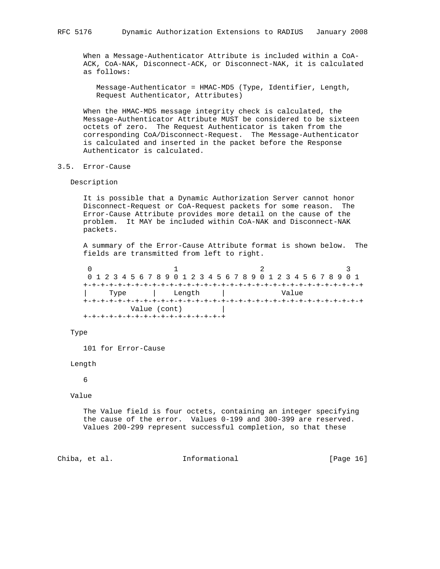When a Message-Authenticator Attribute is included within a CoA- ACK, CoA-NAK, Disconnect-ACK, or Disconnect-NAK, it is calculated as follows:

 Message-Authenticator = HMAC-MD5 (Type, Identifier, Length, Request Authenticator, Attributes)

 When the HMAC-MD5 message integrity check is calculated, the Message-Authenticator Attribute MUST be considered to be sixteen octets of zero. The Request Authenticator is taken from the corresponding CoA/Disconnect-Request. The Message-Authenticator is calculated and inserted in the packet before the Response Authenticator is calculated.

### 3.5. Error-Cause

### Description

 It is possible that a Dynamic Authorization Server cannot honor Disconnect-Request or CoA-Request packets for some reason. The Error-Cause Attribute provides more detail on the cause of the problem. It MAY be included within CoA-NAK and Disconnect-NAK packets.

 A summary of the Error-Cause Attribute format is shown below. The fields are transmitted from left to right.

 $0$  1 2 3 0 1 2 3 4 5 6 7 8 9 0 1 2 3 4 5 6 7 8 9 0 1 2 3 4 5 6 7 8 9 0 1 +-+-+-+-+-+-+-+-+-+-+-+-+-+-+-+-+-+-+-+-+-+-+-+-+-+-+-+-+-+-+-+-+ | Type | Length | Value +-+-+-+-+-+-+-+-+-+-+-+-+-+-+-+-+-+-+-+-+-+-+-+-+-+-+-+-+-+-+-+-+ Value (cont) | +-+-+-+-+-+-+-+-+-+-+-+-+-+-+-+-+

#### Type

101 for Error-Cause

Length

6

Value

 The Value field is four octets, containing an integer specifying the cause of the error. Values 0-199 and 300-399 are reserved. Values 200-299 represent successful completion, so that these

### Chiba, et al. **Informational** [Page 16]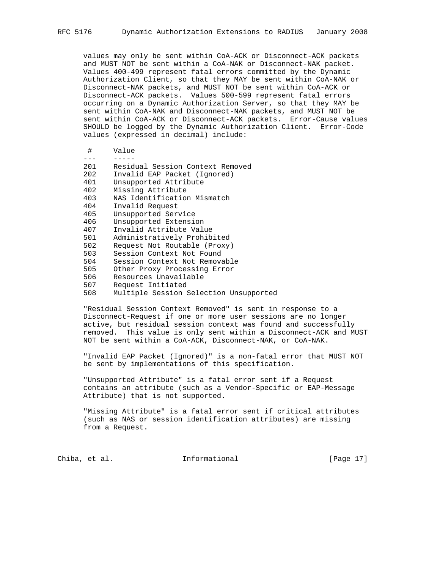values may only be sent within CoA-ACK or Disconnect-ACK packets and MUST NOT be sent within a CoA-NAK or Disconnect-NAK packet. Values 400-499 represent fatal errors committed by the Dynamic Authorization Client, so that they MAY be sent within CoA-NAK or Disconnect-NAK packets, and MUST NOT be sent within CoA-ACK or Disconnect-ACK packets. Values 500-599 represent fatal errors occurring on a Dynamic Authorization Server, so that they MAY be sent within CoA-NAK and Disconnect-NAK packets, and MUST NOT be sent within CoA-ACK or Disconnect-ACK packets. Error-Cause values SHOULD be logged by the Dynamic Authorization Client. Error-Code values (expressed in decimal) include:

| #   | Value                                  |
|-----|----------------------------------------|
|     |                                        |
| 201 | Residual Session Context Removed       |
| 202 | Invalid EAP Packet (Ignored)           |
| 401 | Unsupported Attribute                  |
| 402 | Missing Attribute                      |
| 403 | NAS Identification Mismatch            |
| 404 | Invalid Request                        |
| 405 | Unsupported Service                    |
| 406 | Unsupported Extension                  |
| 407 | Invalid Attribute Value                |
| 501 | Administratively Prohibited            |
| 502 | Request Not Routable (Proxy)           |
| 503 | Session Context Not Found              |
| 504 | Session Context Not Removable          |
| 505 | Other Proxy Processing Error           |
| 506 | Resources Unavailable                  |
| 507 | Request Initiated                      |
| 508 | Multiple Session Selection Unsupported |

 "Residual Session Context Removed" is sent in response to a Disconnect-Request if one or more user sessions are no longer active, but residual session context was found and successfully removed. This value is only sent within a Disconnect-ACK and MUST NOT be sent within a CoA-ACK, Disconnect-NAK, or CoA-NAK.

 "Invalid EAP Packet (Ignored)" is a non-fatal error that MUST NOT be sent by implementations of this specification.

 "Unsupported Attribute" is a fatal error sent if a Request contains an attribute (such as a Vendor-Specific or EAP-Message Attribute) that is not supported.

 "Missing Attribute" is a fatal error sent if critical attributes (such as NAS or session identification attributes) are missing from a Request.

Chiba, et al. **Informational** [Page 17]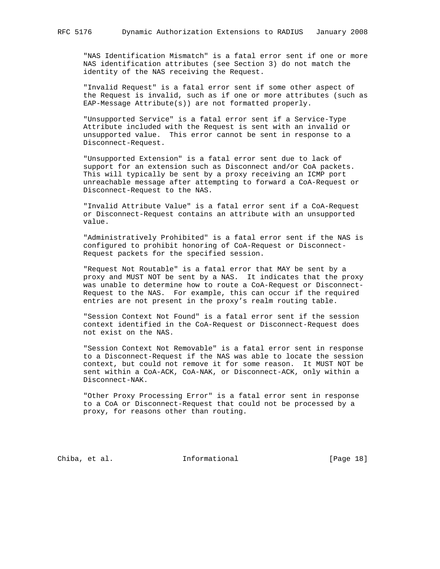"NAS Identification Mismatch" is a fatal error sent if one or more NAS identification attributes (see Section 3) do not match the identity of the NAS receiving the Request.

 "Invalid Request" is a fatal error sent if some other aspect of the Request is invalid, such as if one or more attributes (such as EAP-Message Attribute(s)) are not formatted properly.

 "Unsupported Service" is a fatal error sent if a Service-Type Attribute included with the Request is sent with an invalid or unsupported value. This error cannot be sent in response to a Disconnect-Request.

 "Unsupported Extension" is a fatal error sent due to lack of support for an extension such as Disconnect and/or CoA packets. This will typically be sent by a proxy receiving an ICMP port unreachable message after attempting to forward a CoA-Request or Disconnect-Request to the NAS.

 "Invalid Attribute Value" is a fatal error sent if a CoA-Request or Disconnect-Request contains an attribute with an unsupported value.

 "Administratively Prohibited" is a fatal error sent if the NAS is configured to prohibit honoring of CoA-Request or Disconnect- Request packets for the specified session.

 "Request Not Routable" is a fatal error that MAY be sent by a proxy and MUST NOT be sent by a NAS. It indicates that the proxy was unable to determine how to route a CoA-Request or Disconnect- Request to the NAS. For example, this can occur if the required entries are not present in the proxy's realm routing table.

 "Session Context Not Found" is a fatal error sent if the session context identified in the CoA-Request or Disconnect-Request does not exist on the NAS.

 "Session Context Not Removable" is a fatal error sent in response to a Disconnect-Request if the NAS was able to locate the session context, but could not remove it for some reason. It MUST NOT be sent within a CoA-ACK, CoA-NAK, or Disconnect-ACK, only within a Disconnect-NAK.

 "Other Proxy Processing Error" is a fatal error sent in response to a CoA or Disconnect-Request that could not be processed by a proxy, for reasons other than routing.

Chiba, et al. 1nformational [Page 18]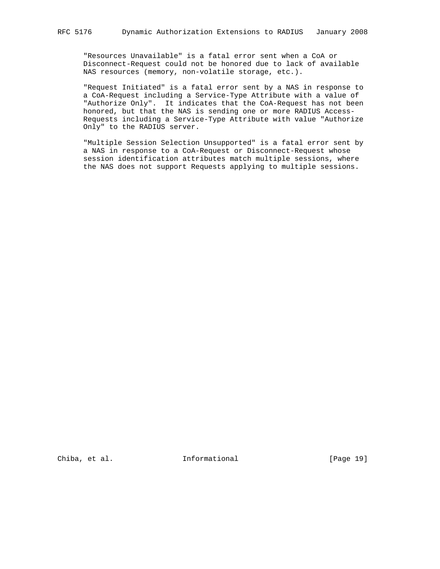"Resources Unavailable" is a fatal error sent when a CoA or Disconnect-Request could not be honored due to lack of available NAS resources (memory, non-volatile storage, etc.).

 "Request Initiated" is a fatal error sent by a NAS in response to a CoA-Request including a Service-Type Attribute with a value of "Authorize Only". It indicates that the CoA-Request has not been honored, but that the NAS is sending one or more RADIUS Access- Requests including a Service-Type Attribute with value "Authorize Only" to the RADIUS server.

 "Multiple Session Selection Unsupported" is a fatal error sent by a NAS in response to a CoA-Request or Disconnect-Request whose session identification attributes match multiple sessions, where the NAS does not support Requests applying to multiple sessions.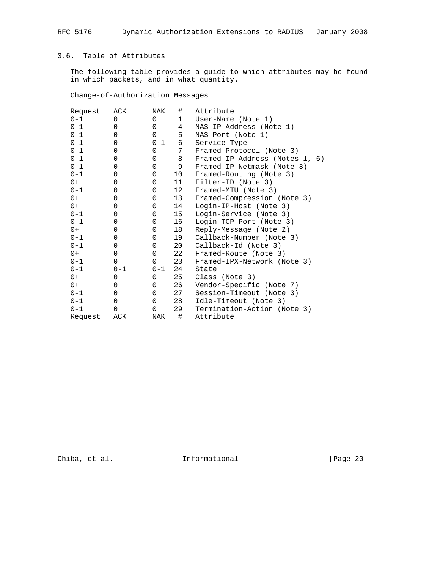# 3.6. Table of Attributes

 The following table provides a guide to which attributes may be found in which packets, and in what quantity.

Change-of-Authorization Messages

| Request | ACK         | NAK      | #           | Attribute                      |
|---------|-------------|----------|-------------|--------------------------------|
| $0 - 1$ | $\Omega$    | $\Omega$ | $\mathbf 1$ | User-Name (Note 1)             |
| $0 - 1$ | $\Omega$    | $\Omega$ | 4           | NAS-IP-Address (Note 1)        |
| $0 - 1$ | 0           | $\Omega$ | 5           | NAS-Port (Note 1)              |
| $0 - 1$ | 0           | $0 - 1$  | 6           | Service-Type                   |
| $0 - 1$ | 0           | $\Omega$ | 7           | Framed-Protocol (Note 3)       |
| $0 - 1$ | 0           | 0        | 8           | Framed-IP-Address (Notes 1, 6) |
| $0 - 1$ | 0           | 0        | 9           | Framed-IP-Netmask (Note 3)     |
| $0 - 1$ | 0           | 0        | 10          | Framed-Routing (Note 3)        |
| $0+$    | $\mathbf 0$ | 0        | 11          | Filter-ID (Note 3)             |
| $0 - 1$ | 0           | 0        | 12          | Framed-MTU (Note 3)            |
| $0+$    | 0           | 0        | 13          | Framed-Compression (Note 3)    |
| $0+$    | $\mathbf 0$ | 0        | 14          | Login-IP-Host (Note 3)         |
| $0 - 1$ | 0           | 0        | 15          | Login-Service (Note 3)         |
| $0 - 1$ | $\mathbf 0$ | 0        | 16          | Login-TCP-Port (Note 3)        |
| $0+$    | $\mathbf 0$ | 0        | 18          | Reply-Message (Note 2)         |
| $0 - 1$ | 0           | 0        | 19          | Callback-Number (Note 3)       |
| $0 - 1$ | 0           | 0        | 20          | Callback-Id (Note 3)           |
| $0+$    | 0           | 0        | 22          | Framed-Route (Note 3)          |
| $0 - 1$ | $\Omega$    | $\Omega$ | 23          | Framed-IPX-Network (Note 3)    |
| $0 - 1$ | $0 - 1$     | $0 - 1$  | 24          | State                          |
| $0+$    | 0           | 0        | 25          | Class (Note 3)                 |
| 0+      | 0           | 0        | 26          | Vendor-Specific (Note 7)       |
| $0 - 1$ | 0           | 0        | 27          | Session-Timeout (Note 3)       |
| $0 - 1$ | 0           | 0        | 28          | Idle-Timeout (Note 3)          |
| $0 - 1$ | 0           | 0        | 29          | Termination-Action (Note 3)    |
| Request | ACK         | NAK      | #           | Attribute                      |

Chiba, et al. 1nformational 1999 [Page 20]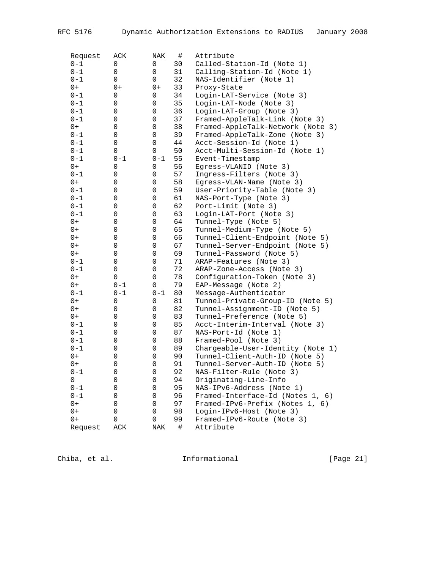| Request | ACK     | NAK                 | $\#$ | Attribute                         |
|---------|---------|---------------------|------|-----------------------------------|
| $0 - 1$ | 0       | 0                   | 30   | Called-Station-Id (Note 1)        |
| $0 - 1$ | 0       | 0                   | 31   | Calling-Station-Id (Note 1)       |
| $0 - 1$ | 0       | 0                   | 32   | NAS-Identifier (Note 1)           |
| $0+$    | $0+$    | $0+$                | 33   | Proxy-State                       |
| $0 - 1$ | 0       | 0                   | 34   | Login-LAT-Service (Note 3)        |
| $0 - 1$ | 0       | 0                   | 35   | Login-LAT-Node (Note 3)           |
| $0 - 1$ | 0       | 0                   | 36   | Login-LAT-Group (Note 3)          |
| $0 - 1$ | 0       | 0                   | 37   | Framed-AppleTalk-Link (Note 3)    |
| $0+$    | 0       | 0                   | 38   | Framed-AppleTalk-Network (Note 3) |
| $0 - 1$ | 0       | 0                   | 39   | Framed-AppleTalk-Zone (Note 3)    |
| $0 - 1$ | 0       | 0                   | 44   | Acct-Session-Id (Note 1)          |
| $0 - 1$ | 0       | 0                   | 50   | Acct-Multi-Session-Id (Note 1)    |
| $0 - 1$ | $0 - 1$ | $0 - 1$             | 55   | Event-Timestamp                   |
| $0+$    | 0       | 0                   | 56   | Egress-VLANID (Note 3)            |
| $0 - 1$ | 0       | 0                   | 57   | Ingress-Filters (Note 3)          |
| $0+$    | 0       | 0                   | 58   | Egress-VLAN-Name (Note 3)         |
| $0 - 1$ | 0       | 0                   | 59   | User-Priority-Table (Note 3)      |
| $0 - 1$ | 0       | 0                   | 61   | NAS-Port-Type (Note 3)            |
| $0 - 1$ | 0       | 0                   | 62   | Port-Limit (Note 3)               |
| $0 - 1$ | 0       | 0                   | 63   | Login-LAT-Port (Note 3)           |
| $0+$    | 0       | 0                   | 64   | Tunnel-Type (Note 5)              |
| $0+$    | 0       | 0                   | 65   | Tunnel-Medium-Type (Note 5)       |
| $0+$    | 0       | 0                   | 66   | Tunnel-Client-Endpoint (Note 5)   |
| $0+$    | 0       | 0                   | 67   | Tunnel-Server-Endpoint (Note 5)   |
| $0+$    | 0       | 0                   | 69   | Tunnel-Password (Note 5)          |
| $0 - 1$ | 0       | $\mathsf{O}\xspace$ | 71   | ARAP-Features (Note 3)            |
| $0 - 1$ | 0       | 0                   | 72   | ARAP-Zone-Access (Note 3)         |
| $0+$    | 0       | 0                   | 78   | Configuration-Token (Note 3)      |
| $0+$    | $0 - 1$ | $\mathsf{O}\xspace$ | 79   | EAP-Message (Note 2)              |
| $0 - 1$ | $0 - 1$ | $0 - 1$             | 80   | Message-Authenticator             |
| $0+$    | 0       | 0                   | 81   | Tunnel-Private-Group-ID (Note 5)  |
| $0+$    | 0       | 0                   | 82   | Tunnel-Assignment-ID (Note 5)     |
| $0+$    | 0       | 0                   | 83   | Tunnel-Preference (Note 5)        |
| $0 - 1$ | 0       | 0                   | 85   | Acct-Interim-Interval (Note 3)    |
| $0 - 1$ | 0       | 0                   | 87   | NAS-Port-Id (Note 1)              |
| $0 - 1$ | 0       | 0                   | 88   | Framed-Pool (Note 3)              |
| $0 - 1$ | 0       | 0                   | 89   | Chargeable-User-Identity (Note 1) |
| $0+$    | 0       | 0                   | 90   | Tunnel-Client-Auth-ID (Note 5)    |
| $0+$    | 0       | 0                   | 91   | Tunnel-Server-Auth-ID (Note 5)    |
| 0-1     | 0       | 0                   | 92   | NAS-Filter-Rule (Note 3)          |
| 0       | 0       | 0                   | 94   | Originating-Line-Info             |
| $0 - 1$ | 0       | 0                   | 95   | NAS-IPv6-Address (Note 1)         |
| $0 - 1$ | 0       | 0                   | 96   | Framed-Interface-Id (Notes 1, 6)  |
| $0+$    | 0       | 0                   | 97   | Framed-IPv6-Prefix (Notes 1, 6)   |
| $0+$    | 0       | 0                   | 98   | Login-IPv6-Host (Note 3)          |
| $0+$    | 0       | 0                   | 99   | Framed-IPv6-Route (Note 3)        |
| Request | ACK     | <b>NAK</b>          | $\#$ | Attribute                         |
|         |         |                     |      |                                   |

Chiba, et al. 1nformational 1999 [Page 21]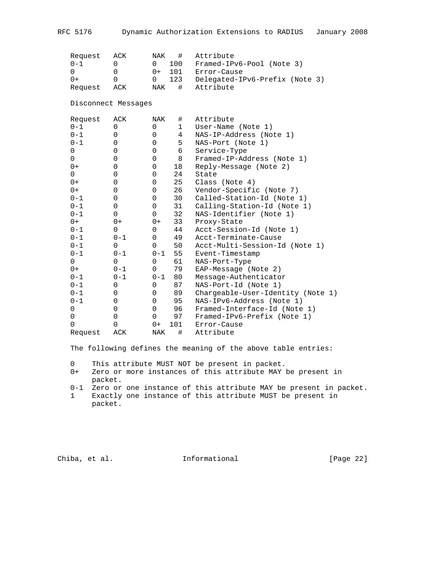| Request             | ACK         | NAK            | $\#$         | Attribute                         |
|---------------------|-------------|----------------|--------------|-----------------------------------|
| $0 - 1$             | $\Omega$    | 0              | 100          | Framed-IPv6-Pool (Note 3)         |
| $\Omega$            | $\Omega$    | $0+$           | 101          | Error-Cause                       |
| $0+$                | $\Omega$    | $\overline{0}$ | 123          | Delegated-IPv6-Prefix (Note 3)    |
| Request             | ACK         | NAK            | #            | Attribute                         |
| Disconnect Messages |             |                |              |                                   |
| Request             | ACK         | NAK            | #            | Attribute                         |
| $0 - 1$             | 0           | 0              | $\mathbf{1}$ | User-Name (Note 1)                |
| $0 - 1$             | 0           | 0              | 4            | NAS-IP-Address (Note 1)           |
| $0 - 1$             | 0           | 0              | 5            | NAS-Port (Note 1)                 |
| 0                   | 0           | 0              | 6            | Service-Type                      |
| 0                   | $\mathbf 0$ | $\mathbf 0$    | 8            | Framed-IP-Address (Note 1)        |
| $0+$                | $\mathbf 0$ | 0              | 18           | Reply-Message (Note 2)            |
| 0                   | $\mathbf 0$ | 0              | 24           | State                             |
| $0+$                | $\mathbf 0$ | 0              | 25           | Class (Note 4)                    |
| $0+$                | $\mathbf 0$ | 0              | 26           | Vendor-Specific (Note 7)          |
| $0 - 1$             | 0           | 0              | 30           | Called-Station-Id (Note 1)        |
| $0 - 1$             | $\mathbf 0$ | 0              | 31           | Calling-Station-Id (Note 1)       |
| $0 - 1$             | $\Omega$    | $\mathbf 0$    | 32           | NAS-Identifier (Note 1)           |
| $0+$                | $0+$        | $0+$           | 33           | Proxy-State                       |
| $0 - 1$             | $\mathbf 0$ | $\mathbf 0$    | 44           | Acct-Session-Id (Note 1)          |
| $0 - 1$             | $0 - 1$     | $\mathbf 0$    | 49           | Acct-Terminate-Cause              |
| $0 - 1$             | $\mathbf 0$ | $\mathbf 0$    | 50           | Acct-Multi-Session-Id (Note 1)    |
| $0 - 1$             | $0 - 1$     | $0 - 1$        | 55           | Event-Timestamp                   |
| $\Omega$            | $\Omega$    | $\mathbf 0$    | 61           | NAS-Port-Type                     |
| $0+$                | $0 - 1$     | $\Omega$       | 79           | EAP-Message (Note 2)              |
| $0 - 1$             | $0 - 1$     | $0 - 1$        | 80           | Message-Authenticator             |
| $0 - 1$             | $\mathbf 0$ | $\mathbf 0$    | 87           | NAS-Port-Id (Note 1)              |
| $0 - 1$             | $\mathbf 0$ | $\mathbf 0$    | 89           | Chargeable-User-Identity (Note 1) |
| $0 - 1$             | $\mathbf 0$ | $\mathbf 0$    | 95           | NAS-IPv6-Address (Note 1)         |
| 0                   | $\mathbf 0$ | $\mathbf 0$    | 96           | Framed-Interface-Id (Note 1)      |
| 0                   | 0           | $\mathbf 0$    | 97           | Framed-IPv6-Prefix (Note 1)       |
| $\Omega$            | $\Omega$    | $0+$           | 101          | Error-Cause                       |
| Request             | ACK         | NAK            | #            | Attribute                         |

The following defines the meaning of the above table entries:

0 This attribute MUST NOT be present in packet.

- 0-1 Zero or one instance of this attribute MAY be present in packet.
- 1 Exactly one instance of this attribute MUST be present in packet.

Chiba, et al. 1nformational [Page 22]

 <sup>0+</sup> Zero or more instances of this attribute MAY be present in packet.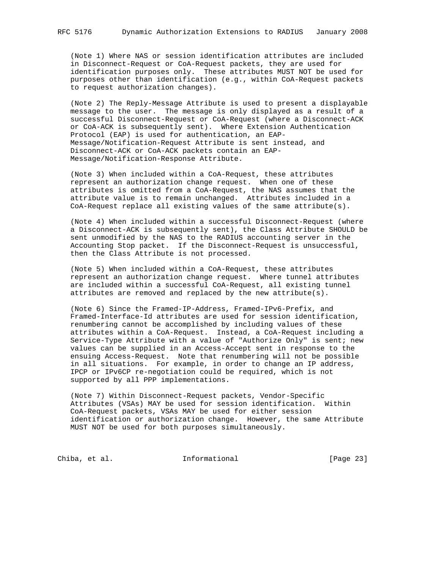(Note 1) Where NAS or session identification attributes are included in Disconnect-Request or CoA-Request packets, they are used for identification purposes only. These attributes MUST NOT be used for purposes other than identification (e.g., within CoA-Request packets to request authorization changes).

 (Note 2) The Reply-Message Attribute is used to present a displayable message to the user. The message is only displayed as a result of a successful Disconnect-Request or CoA-Request (where a Disconnect-ACK or CoA-ACK is subsequently sent). Where Extension Authentication Protocol (EAP) is used for authentication, an EAP- Message/Notification-Request Attribute is sent instead, and Disconnect-ACK or CoA-ACK packets contain an EAP- Message/Notification-Response Attribute.

 (Note 3) When included within a CoA-Request, these attributes represent an authorization change request. When one of these attributes is omitted from a CoA-Request, the NAS assumes that the attribute value is to remain unchanged. Attributes included in a CoA-Request replace all existing values of the same attribute(s).

 (Note 4) When included within a successful Disconnect-Request (where a Disconnect-ACK is subsequently sent), the Class Attribute SHOULD be sent unmodified by the NAS to the RADIUS accounting server in the Accounting Stop packet. If the Disconnect-Request is unsuccessful, then the Class Attribute is not processed.

 (Note 5) When included within a CoA-Request, these attributes represent an authorization change request. Where tunnel attributes are included within a successful CoA-Request, all existing tunnel attributes are removed and replaced by the new attribute(s).

 (Note 6) Since the Framed-IP-Address, Framed-IPv6-Prefix, and Framed-Interface-Id attributes are used for session identification, renumbering cannot be accomplished by including values of these attributes within a CoA-Request. Instead, a CoA-Request including a Service-Type Attribute with a value of "Authorize Only" is sent; new values can be supplied in an Access-Accept sent in response to the ensuing Access-Request. Note that renumbering will not be possible in all situations. For example, in order to change an IP address, IPCP or IPv6CP re-negotiation could be required, which is not supported by all PPP implementations.

 (Note 7) Within Disconnect-Request packets, Vendor-Specific Attributes (VSAs) MAY be used for session identification. Within CoA-Request packets, VSAs MAY be used for either session identification or authorization change. However, the same Attribute MUST NOT be used for both purposes simultaneously.

Chiba, et al. 1nformational [Page 23]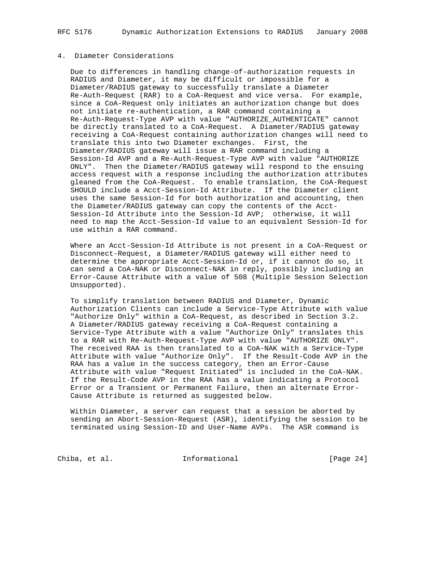# 4. Diameter Considerations

 Due to differences in handling change-of-authorization requests in RADIUS and Diameter, it may be difficult or impossible for a Diameter/RADIUS gateway to successfully translate a Diameter Re-Auth-Request (RAR) to a CoA-Request and vice versa. For example, since a CoA-Request only initiates an authorization change but does not initiate re-authentication, a RAR command containing a Re-Auth-Request-Type AVP with value "AUTHORIZE\_AUTHENTICATE" cannot be directly translated to a CoA-Request. A Diameter/RADIUS gateway receiving a CoA-Request containing authorization changes will need to translate this into two Diameter exchanges. First, the Diameter/RADIUS gateway will issue a RAR command including a Session-Id AVP and a Re-Auth-Request-Type AVP with value "AUTHORIZE ONLY". Then the Diameter/RADIUS gateway will respond to the ensuing access request with a response including the authorization attributes gleaned from the CoA-Request. To enable translation, the CoA-Request SHOULD include a Acct-Session-Id Attribute. If the Diameter client uses the same Session-Id for both authorization and accounting, then the Diameter/RADIUS gateway can copy the contents of the Acct- Session-Id Attribute into the Session-Id AVP; otherwise, it will need to map the Acct-Session-Id value to an equivalent Session-Id for use within a RAR command.

 Where an Acct-Session-Id Attribute is not present in a CoA-Request or Disconnect-Request, a Diameter/RADIUS gateway will either need to determine the appropriate Acct-Session-Id or, if it cannot do so, it can send a CoA-NAK or Disconnect-NAK in reply, possibly including an Error-Cause Attribute with a value of 508 (Multiple Session Selection Unsupported).

 To simplify translation between RADIUS and Diameter, Dynamic Authorization Clients can include a Service-Type Attribute with value "Authorize Only" within a CoA-Request, as described in Section 3.2. A Diameter/RADIUS gateway receiving a CoA-Request containing a Service-Type Attribute with a value "Authorize Only" translates this to a RAR with Re-Auth-Request-Type AVP with value "AUTHORIZE ONLY". The received RAA is then translated to a CoA-NAK with a Service-Type Attribute with value "Authorize Only". If the Result-Code AVP in the RAA has a value in the success category, then an Error-Cause Attribute with value "Request Initiated" is included in the CoA-NAK. If the Result-Code AVP in the RAA has a value indicating a Protocol Error or a Transient or Permanent Failure, then an alternate Error- Cause Attribute is returned as suggested below.

 Within Diameter, a server can request that a session be aborted by sending an Abort-Session-Request (ASR), identifying the session to be terminated using Session-ID and User-Name AVPs. The ASR command is

Chiba, et al. 1nformational [Page 24]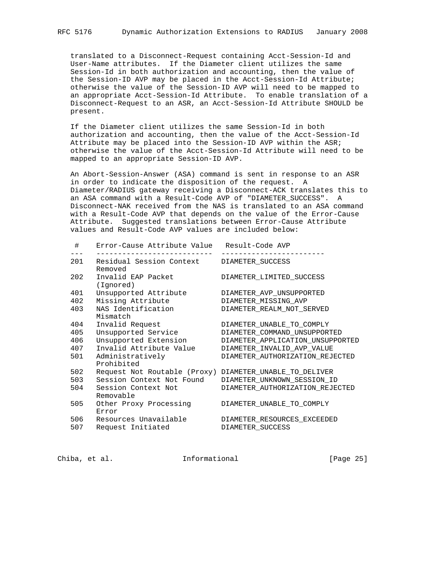translated to a Disconnect-Request containing Acct-Session-Id and User-Name attributes. If the Diameter client utilizes the same Session-Id in both authorization and accounting, then the value of the Session-ID AVP may be placed in the Acct-Session-Id Attribute; otherwise the value of the Session-ID AVP will need to be mapped to an appropriate Acct-Session-Id Attribute. To enable translation of a Disconnect-Request to an ASR, an Acct-Session-Id Attribute SHOULD be present.

 If the Diameter client utilizes the same Session-Id in both authorization and accounting, then the value of the Acct-Session-Id Attribute may be placed into the Session-ID AVP within the ASR; otherwise the value of the Acct-Session-Id Attribute will need to be mapped to an appropriate Session-ID AVP.

 An Abort-Session-Answer (ASA) command is sent in response to an ASR in order to indicate the disposition of the request. A Diameter/RADIUS gateway receiving a Disconnect-ACK translates this to an ASA command with a Result-Code AVP of "DIAMETER\_SUCCESS". A Disconnect-NAK received from the NAS is translated to an ASA command with a Result-Code AVP that depends on the value of the Error-Cause Attribute. Suggested translations between Error-Cause Attribute values and Result-Code AVP values are included below:

| #   | Error-Cause Attribute Value Result-Code AVP             |                                  |
|-----|---------------------------------------------------------|----------------------------------|
| 201 | Residual Session Context                                | DIAMETER_SUCCESS                 |
|     | Removed                                                 |                                  |
| 202 | Invalid EAP Packet<br>(Ignored)                         | DIAMETER LIMITED SUCCESS         |
| 401 | Unsupported Attribute                                   | DIAMETER AVP UNSUPPORTED         |
| 402 | Missing Attribute                                       | DIAMETER MISSING AVP             |
| 403 | NAS Identification<br>Mismatch                          | DIAMETER_REALM_NOT_SERVED        |
| 404 |                                                         |                                  |
|     | Invalid Request                                         | DIAMETER UNABLE TO COMPLY        |
| 405 | Unsupported Service                                     | DIAMETER_COMMAND_UNSUPPORTED     |
| 406 | Unsupported Extension                                   | DIAMETER_APPLICATION_UNSUPPORTED |
| 407 | Invalid Attribute Value                                 | DIAMETER_INVALID_AVP_VALUE       |
| 501 | Administratively<br>Prohibited                          | DIAMETER AUTHORIZATION REJECTED  |
| 502 | Request Not Routable (Proxy) DIAMETER_UNABLE_TO_DELIVER |                                  |
| 503 | Session Context Not Found                               | DIAMETER_UNKNOWN_SESSION_ID      |
| 504 | Session Context Not<br>Removable                        | DIAMETER AUTHORIZATION REJECTED  |
| 505 | Other Proxy Processing<br>Error                         | DIAMETER UNABLE TO COMPLY        |
| 506 | Resources Unavailable                                   | DIAMETER RESOURCES EXCEEDED      |
| 507 | Request Initiated                                       | DIAMETER SUCCESS                 |
|     |                                                         |                                  |

Chiba, et al. 1nformational [Page 25]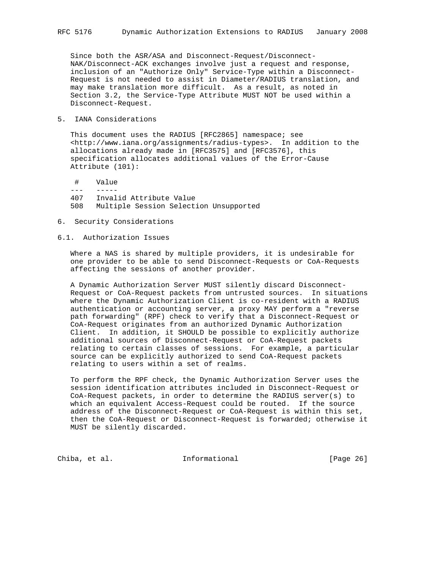Since both the ASR/ASA and Disconnect-Request/Disconnect- NAK/Disconnect-ACK exchanges involve just a request and response, inclusion of an "Authorize Only" Service-Type within a Disconnect- Request is not needed to assist in Diameter/RADIUS translation, and may make translation more difficult. As a result, as noted in Section 3.2, the Service-Type Attribute MUST NOT be used within a Disconnect-Request.

5. IANA Considerations

 This document uses the RADIUS [RFC2865] namespace; see <http://www.iana.org/assignments/radius-types>. In addition to the allocations already made in [RFC3575] and [RFC3576], this specification allocates additional values of the Error-Cause Attribute (101):

- # Value
- $- -$
- 407 Invalid Attribute Value 508 Multiple Session Selection Unsupported
- 6. Security Considerations

### 6.1. Authorization Issues

 Where a NAS is shared by multiple providers, it is undesirable for one provider to be able to send Disconnect-Requests or CoA-Requests affecting the sessions of another provider.

 A Dynamic Authorization Server MUST silently discard Disconnect- Request or CoA-Request packets from untrusted sources. In situations where the Dynamic Authorization Client is co-resident with a RADIUS authentication or accounting server, a proxy MAY perform a "reverse path forwarding" (RPF) check to verify that a Disconnect-Request or CoA-Request originates from an authorized Dynamic Authorization Client. In addition, it SHOULD be possible to explicitly authorize additional sources of Disconnect-Request or CoA-Request packets relating to certain classes of sessions. For example, a particular source can be explicitly authorized to send CoA-Request packets relating to users within a set of realms.

 To perform the RPF check, the Dynamic Authorization Server uses the session identification attributes included in Disconnect-Request or CoA-Request packets, in order to determine the RADIUS server(s) to which an equivalent Access-Request could be routed. If the source address of the Disconnect-Request or CoA-Request is within this set, then the CoA-Request or Disconnect-Request is forwarded; otherwise it MUST be silently discarded.

Chiba, et al. **Informational** [Page 26]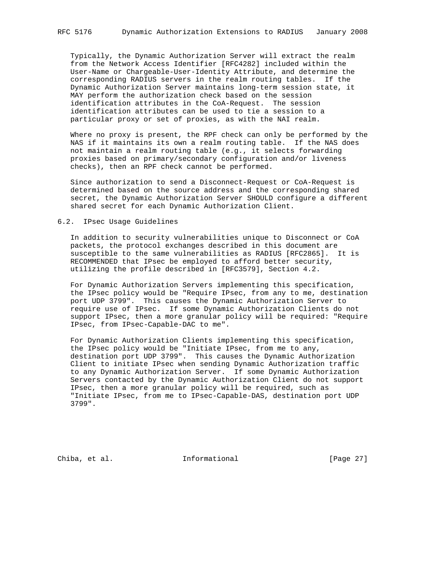Typically, the Dynamic Authorization Server will extract the realm from the Network Access Identifier [RFC4282] included within the User-Name or Chargeable-User-Identity Attribute, and determine the corresponding RADIUS servers in the realm routing tables. If the Dynamic Authorization Server maintains long-term session state, it MAY perform the authorization check based on the session identification attributes in the CoA-Request. The session identification attributes can be used to tie a session to a particular proxy or set of proxies, as with the NAI realm.

 Where no proxy is present, the RPF check can only be performed by the NAS if it maintains its own a realm routing table. If the NAS does not maintain a realm routing table (e.g., it selects forwarding proxies based on primary/secondary configuration and/or liveness checks), then an RPF check cannot be performed.

 Since authorization to send a Disconnect-Request or CoA-Request is determined based on the source address and the corresponding shared secret, the Dynamic Authorization Server SHOULD configure a different shared secret for each Dynamic Authorization Client.

### 6.2. IPsec Usage Guidelines

 In addition to security vulnerabilities unique to Disconnect or CoA packets, the protocol exchanges described in this document are susceptible to the same vulnerabilities as RADIUS [RFC2865]. It is RECOMMENDED that IPsec be employed to afford better security, utilizing the profile described in [RFC3579], Section 4.2.

 For Dynamic Authorization Servers implementing this specification, the IPsec policy would be "Require IPsec, from any to me, destination port UDP 3799". This causes the Dynamic Authorization Server to require use of IPsec. If some Dynamic Authorization Clients do not support IPsec, then a more granular policy will be required: "Require IPsec, from IPsec-Capable-DAC to me".

 For Dynamic Authorization Clients implementing this specification, the IPsec policy would be "Initiate IPsec, from me to any, destination port UDP 3799". This causes the Dynamic Authorization Client to initiate IPsec when sending Dynamic Authorization traffic to any Dynamic Authorization Server. If some Dynamic Authorization Servers contacted by the Dynamic Authorization Client do not support IPsec, then a more granular policy will be required, such as "Initiate IPsec, from me to IPsec-Capable-DAS, destination port UDP 3799".

Chiba, et al. 1nformational [Page 27]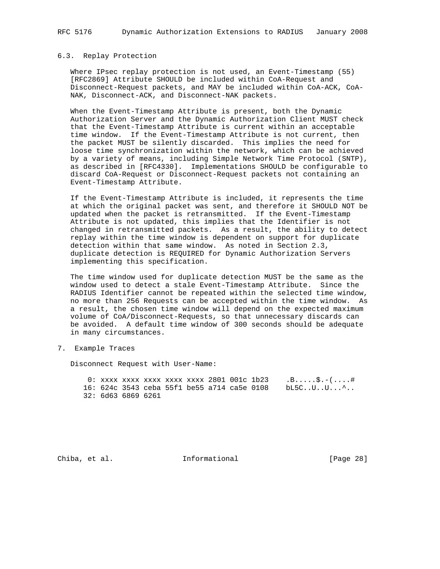#### 6.3. Replay Protection

 Where IPsec replay protection is not used, an Event-Timestamp (55) [RFC2869] Attribute SHOULD be included within CoA-Request and Disconnect-Request packets, and MAY be included within CoA-ACK, CoA- NAK, Disconnect-ACK, and Disconnect-NAK packets.

 When the Event-Timestamp Attribute is present, both the Dynamic Authorization Server and the Dynamic Authorization Client MUST check that the Event-Timestamp Attribute is current within an acceptable time window. If the Event-Timestamp Attribute is not current, then the packet MUST be silently discarded. This implies the need for loose time synchronization within the network, which can be achieved by a variety of means, including Simple Network Time Protocol (SNTP), as described in [RFC4330]. Implementations SHOULD be configurable to discard CoA-Request or Disconnect-Request packets not containing an Event-Timestamp Attribute.

 If the Event-Timestamp Attribute is included, it represents the time at which the original packet was sent, and therefore it SHOULD NOT be updated when the packet is retransmitted. If the Event-Timestamp Attribute is not updated, this implies that the Identifier is not changed in retransmitted packets. As a result, the ability to detect replay within the time window is dependent on support for duplicate detection within that same window. As noted in Section 2.3, duplicate detection is REQUIRED for Dynamic Authorization Servers implementing this specification.

 The time window used for duplicate detection MUST be the same as the window used to detect a stale Event-Timestamp Attribute. Since the RADIUS Identifier cannot be repeated within the selected time window, no more than 256 Requests can be accepted within the time window. As a result, the chosen time window will depend on the expected maximum volume of CoA/Disconnect-Requests, so that unnecessary discards can be avoided. A default time window of 300 seconds should be adequate in many circumstances.

7. Example Traces

Disconnect Request with User-Name:

0: xxxx xxxx xxxx xxxx 2801 001c 1b23 .B.....\$.-(....# 16: 624c 3543 ceba 55f1 be55 a714 ca5e 0108 bL5C..U..U...^.. 32: 6d63 6869 6261

Chiba, et al. 1nformational [Page 28]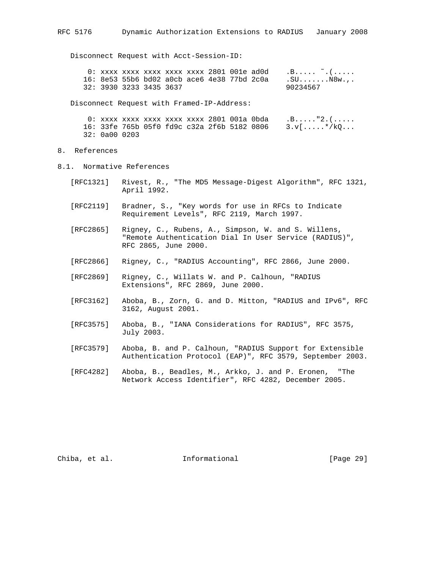Disconnect Request with Acct-Session-ID:

|                         |  |  |  |                                             | $0:$ xxxx xxxx xxxx xxxx xxxx 2801 001e ad0d $0.$ B $\sim$ . ( |
|-------------------------|--|--|--|---------------------------------------------|----------------------------------------------------------------|
|                         |  |  |  | 16: 8e53 55b6 bd02 a0cb ace6 4e38 77bd 2c0a | .SUN8w. <i>.</i> .                                             |
| 32: 3930 3233 3435 3637 |  |  |  |                                             | 90234567                                                       |

Disconnect Request with Framed-IP-Address:

```
0: xxxx xxxx xxxx xxxx 2801 001a 0bda .B....."2.(.....
16: 33fe 765b 05f0 fd9c c32a 2f6b 5182 0806 3.v[.....*/kQ...
32: 0a00 0203
```
- 8. References
- 8.1. Normative References
	- [RFC1321] Rivest, R., "The MD5 Message-Digest Algorithm", RFC 1321, April 1992.
	- [RFC2119] Bradner, S., "Key words for use in RFCs to Indicate Requirement Levels", RFC 2119, March 1997.
	- [RFC2865] Rigney, C., Rubens, A., Simpson, W. and S. Willens, "Remote Authentication Dial In User Service (RADIUS)", RFC 2865, June 2000.
	- [RFC2866] Rigney, C., "RADIUS Accounting", RFC 2866, June 2000.
	- [RFC2869] Rigney, C., Willats W. and P. Calhoun, "RADIUS Extensions", RFC 2869, June 2000.
	- [RFC3162] Aboba, B., Zorn, G. and D. Mitton, "RADIUS and IPv6", RFC 3162, August 2001.
	- [RFC3575] Aboba, B., "IANA Considerations for RADIUS", RFC 3575, July 2003.
	- [RFC3579] Aboba, B. and P. Calhoun, "RADIUS Support for Extensible Authentication Protocol (EAP)", RFC 3579, September 2003.
	- [RFC4282] Aboba, B., Beadles, M., Arkko, J. and P. Eronen, "The Network Access Identifier", RFC 4282, December 2005.

Chiba, et al. 1nformational [Page 29]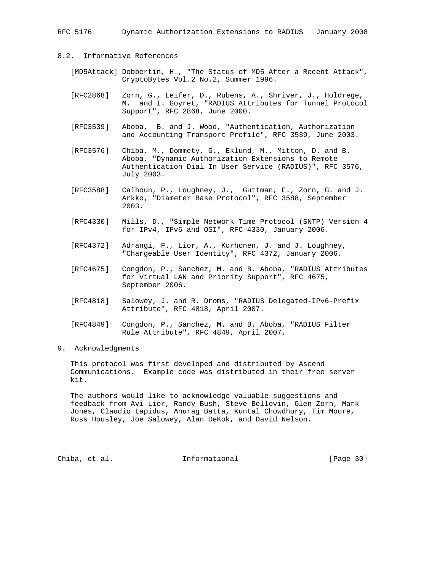RFC 5176 Dynamic Authorization Extensions to RADIUS January 2008

# 8.2. Informative References

- [MD5Attack] Dobbertin, H., "The Status of MD5 After a Recent Attack", CryptoBytes Vol.2 No.2, Summer 1996.
- [RFC2868] Zorn, G., Leifer, D., Rubens, A., Shriver, J., Holdrege, M. and I. Goyret, "RADIUS Attributes for Tunnel Protocol Support", RFC 2868, June 2000.
- [RFC3539] Aboba, B. and J. Wood, "Authentication, Authorization and Accounting Transport Profile", RFC 3539, June 2003.
- [RFC3576] Chiba, M., Dommety, G., Eklund, M., Mitton, D. and B. Aboba, "Dynamic Authorization Extensions to Remote Authentication Dial In User Service (RADIUS)", RFC 3576, July 2003.
- [RFC3588] Calhoun, P., Loughney, J., Guttman, E., Zorn, G. and J. Arkko, "Diameter Base Protocol", RFC 3588, September 2003.
- [RFC4330] Mills, D., "Simple Network Time Protocol (SNTP) Version 4 for IPv4, IPv6 and OSI", RFC 4330, January 2006.
- [RFC4372] Adrangi, F., Lior, A., Korhonen, J. and J. Loughney, "Chargeable User Identity", RFC 4372, January 2006.
- [RFC4675] Congdon, P., Sanchez, M. and B. Aboba, "RADIUS Attributes for Virtual LAN and Priority Support", RFC 4675, September 2006.
- [RFC4818] Salowey, J. and R. Droms, "RADIUS Delegated-IPv6-Prefix Attribute", RFC 4818, April 2007.
- [RFC4849] Congdon, P., Sanchez, M. and B. Aboba, "RADIUS Filter Rule Attribute", RFC 4849, April 2007.
- 9. Acknowledgments

 This protocol was first developed and distributed by Ascend Communications. Example code was distributed in their free server kit.

 The authors would like to acknowledge valuable suggestions and feedback from Avi Lior, Randy Bush, Steve Bellovin, Glen Zorn, Mark Jones, Claudio Lapidus, Anurag Batta, Kuntal Chowdhury, Tim Moore, Russ Housley, Joe Salowey, Alan DeKok, and David Nelson.

Chiba, et al. 1nformational [Page 30]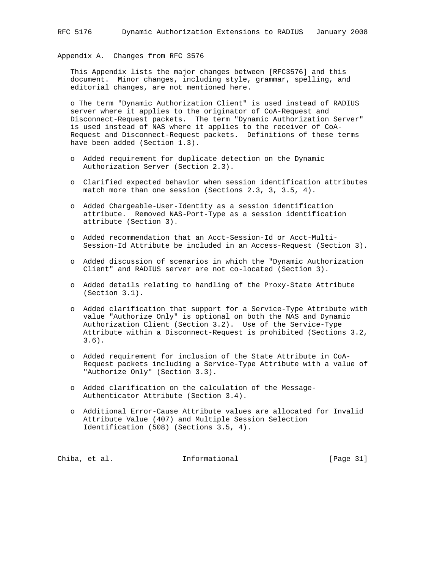# Appendix A. Changes from RFC 3576

 This Appendix lists the major changes between [RFC3576] and this document. Minor changes, including style, grammar, spelling, and editorial changes, are not mentioned here.

 o The term "Dynamic Authorization Client" is used instead of RADIUS server where it applies to the originator of CoA-Request and Disconnect-Request packets. The term "Dynamic Authorization Server" is used instead of NAS where it applies to the receiver of CoA- Request and Disconnect-Request packets. Definitions of these terms have been added (Section 1.3).

- o Added requirement for duplicate detection on the Dynamic Authorization Server (Section 2.3).
- o Clarified expected behavior when session identification attributes match more than one session (Sections 2.3, 3, 3.5, 4).
- o Added Chargeable-User-Identity as a session identification attribute. Removed NAS-Port-Type as a session identification attribute (Section 3).
- o Added recommendation that an Acct-Session-Id or Acct-Multi- Session-Id Attribute be included in an Access-Request (Section 3).
- o Added discussion of scenarios in which the "Dynamic Authorization Client" and RADIUS server are not co-located (Section 3).
- o Added details relating to handling of the Proxy-State Attribute (Section 3.1).
- o Added clarification that support for a Service-Type Attribute with value "Authorize Only" is optional on both the NAS and Dynamic Authorization Client (Section 3.2). Use of the Service-Type Attribute within a Disconnect-Request is prohibited (Sections 3.2, 3.6).
- o Added requirement for inclusion of the State Attribute in CoA- Request packets including a Service-Type Attribute with a value of "Authorize Only" (Section 3.3).
- o Added clarification on the calculation of the Message- Authenticator Attribute (Section 3.4).
- o Additional Error-Cause Attribute values are allocated for Invalid Attribute Value (407) and Multiple Session Selection Identification (508) (Sections 3.5, 4).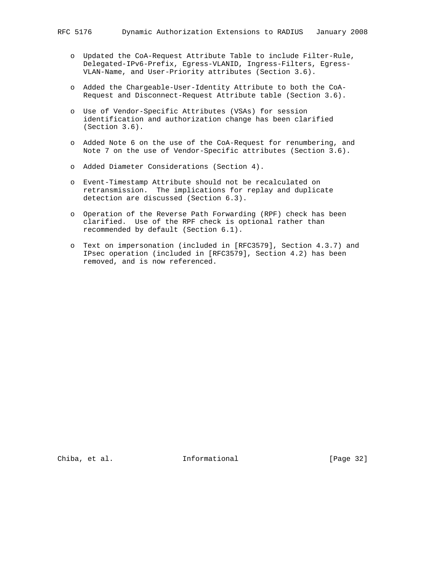- o Updated the CoA-Request Attribute Table to include Filter-Rule, Delegated-IPv6-Prefix, Egress-VLANID, Ingress-Filters, Egress- VLAN-Name, and User-Priority attributes (Section 3.6).
- o Added the Chargeable-User-Identity Attribute to both the CoA- Request and Disconnect-Request Attribute table (Section 3.6).
- o Use of Vendor-Specific Attributes (VSAs) for session identification and authorization change has been clarified (Section 3.6).
- o Added Note 6 on the use of the CoA-Request for renumbering, and Note 7 on the use of Vendor-Specific attributes (Section 3.6).
- o Added Diameter Considerations (Section 4).
- o Event-Timestamp Attribute should not be recalculated on retransmission. The implications for replay and duplicate detection are discussed (Section 6.3).
- o Operation of the Reverse Path Forwarding (RPF) check has been clarified. Use of the RPF check is optional rather than recommended by default (Section 6.1).
- o Text on impersonation (included in [RFC3579], Section 4.3.7) and IPsec operation (included in [RFC3579], Section 4.2) has been removed, and is now referenced.

Chiba, et al. 1nformational [Page 32]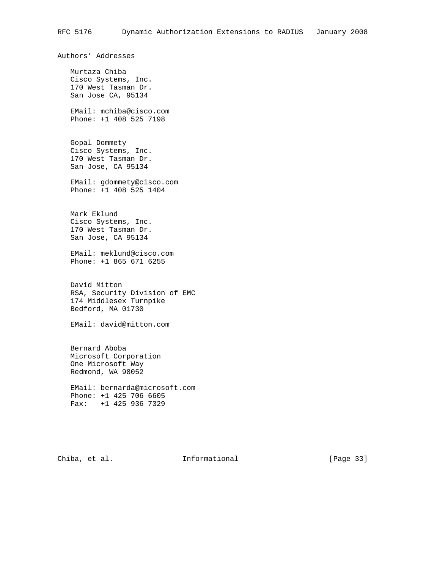Authors' Addresses

 Murtaza Chiba Cisco Systems, Inc. 170 West Tasman Dr. San Jose CA, 95134

 EMail: mchiba@cisco.com Phone: +1 408 525 7198

 Gopal Dommety Cisco Systems, Inc. 170 West Tasman Dr. San Jose, CA 95134

 EMail: gdommety@cisco.com Phone: +1 408 525 1404

 Mark Eklund Cisco Systems, Inc. 170 West Tasman Dr. San Jose, CA 95134

 EMail: meklund@cisco.com Phone: +1 865 671 6255

 David Mitton RSA, Security Division of EMC 174 Middlesex Turnpike Bedford, MA 01730

EMail: david@mitton.com

 Bernard Aboba Microsoft Corporation One Microsoft Way Redmond, WA 98052

 EMail: bernarda@microsoft.com Phone: +1 425 706 6605 Fax: +1 425 936 7329

Chiba, et al. 1nformational [Page 33]